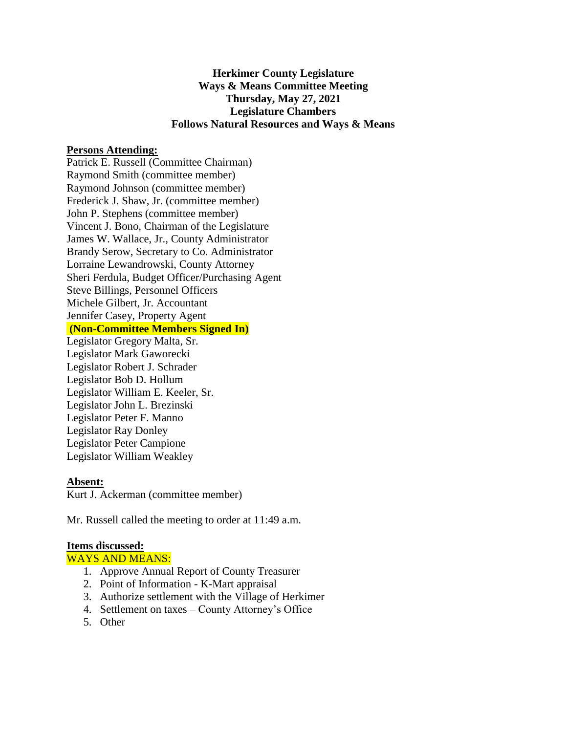## **Herkimer County Legislature Ways & Means Committee Meeting Thursday, May 27, 2021 Legislature Chambers Follows Natural Resources and Ways & Means**

### **Persons Attending:**

Patrick E. Russell (Committee Chairman) Raymond Smith (committee member) Raymond Johnson (committee member) Frederick J. Shaw, Jr. (committee member) John P. Stephens (committee member) Vincent J. Bono, Chairman of the Legislature James W. Wallace, Jr., County Administrator Brandy Serow, Secretary to Co. Administrator Lorraine Lewandrowski, County Attorney Sheri Ferdula, Budget Officer/Purchasing Agent Steve Billings, Personnel Officers Michele Gilbert, Jr. Accountant Jennifer Casey, Property Agent **(Non-Committee Members Signed In)** Legislator Gregory Malta, Sr. Legislator Mark Gaworecki Legislator Robert J. Schrader

Legislator Bob D. Hollum Legislator William E. Keeler, Sr. Legislator John L. Brezinski Legislator Peter F. Manno Legislator Ray Donley Legislator Peter Campione Legislator William Weakley

#### **Absent:**

Kurt J. Ackerman (committee member)

Mr. Russell called the meeting to order at 11:49 a.m.

#### **Items discussed:**

WAYS AND MEANS:

- 1. Approve Annual Report of County Treasurer
- 2. Point of Information K-Mart appraisal
- 3. Authorize settlement with the Village of Herkimer
- 4. Settlement on taxes County Attorney's Office
- 5. Other